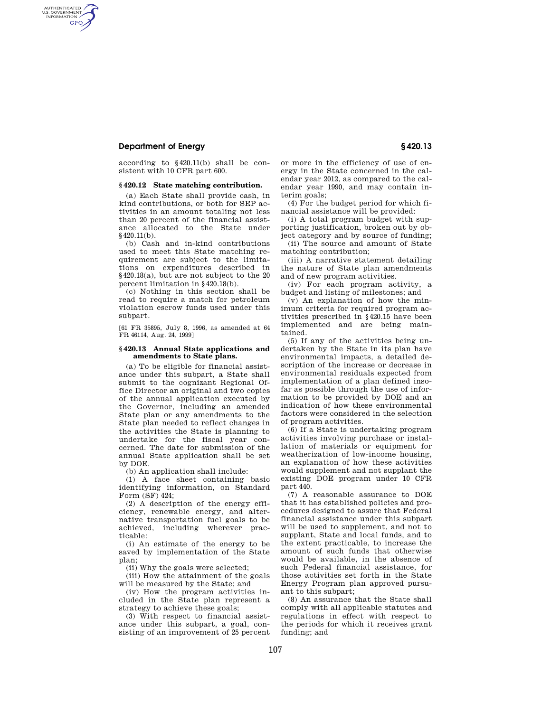# **Department of Energy § 420.13**

AUTHENTICATED<br>U.S. GOVERNMENT<br>INFORMATION **GPO** 

> according to §420.11(b) shall be consistent with 10 CFR part 600.

### **§ 420.12 State matching contribution.**

(a) Each State shall provide cash, in kind contributions, or both for SEP activities in an amount totaling not less than 20 percent of the financial assistance allocated to the State under §420.11(b).

(b) Cash and in-kind contributions used to meet this State matching requirement are subject to the limitations on expenditures described in §420.18(a), but are not subject to the 20 percent limitation in §420.18(b).

(c) Nothing in this section shall be read to require a match for petroleum violation escrow funds used under this subpart.

[61 FR 35895, July 8, 1996, as amended at 64 FR 46114, Aug. 24, 1999]

## **§ 420.13 Annual State applications and amendments to State plans.**

(a) To be eligible for financial assistance under this subpart, a State shall submit to the cognizant Regional Office Director an original and two copies of the annual application executed by the Governor, including an amended State plan or any amendments to the State plan needed to reflect changes in the activities the State is planning to undertake for the fiscal year concerned. The date for submission of the annual State application shall be set by DOE.

(b) An application shall include:

(1) A face sheet containing basic identifying information, on Standard Form (SF) 424;

(2) A description of the energy efficiency, renewable energy, and alternative transportation fuel goals to be achieved, including wherever practicable:

(i) An estimate of the energy to be saved by implementation of the State plan;

(ii) Why the goals were selected;

(iii) How the attainment of the goals will be measured by the State; and

(iv) How the program activities included in the State plan represent a strategy to achieve these goals;

(3) With respect to financial assistance under this subpart, a goal, consisting of an improvement of 25 percent or more in the efficiency of use of energy in the State concerned in the calendar year 2012, as compared to the calendar year 1990, and may contain interim goals;

(4) For the budget period for which financial assistance will be provided:

(i) A total program budget with supporting justification, broken out by object category and by source of funding;

(ii) The source and amount of State matching contribution;

(iii) A narrative statement detailing the nature of State plan amendments and of new program activities.

(iv) For each program activity, a budget and listing of milestones; and

(v) An explanation of how the minimum criteria for required program activities prescribed in §420.15 have been implemented and are being maintained.

(5) If any of the activities being undertaken by the State in its plan have environmental impacts, a detailed description of the increase or decrease in environmental residuals expected from implementation of a plan defined insofar as possible through the use of information to be provided by DOE and an indication of how these environmental factors were considered in the selection of program activities.

(6) If a State is undertaking program activities involving purchase or installation of materials or equipment for weatherization of low-income housing, an explanation of how these activities would supplement and not supplant the existing DOE program under 10 CFR part 440.

(7) A reasonable assurance to DOE that it has established policies and procedures designed to assure that Federal financial assistance under this subpart will be used to supplement, and not to supplant, State and local funds, and to the extent practicable, to increase the amount of such funds that otherwise would be available, in the absence of such Federal financial assistance, for those activities set forth in the State Energy Program plan approved pursuant to this subpart;

(8) An assurance that the State shall comply with all applicable statutes and regulations in effect with respect to the periods for which it receives grant funding; and